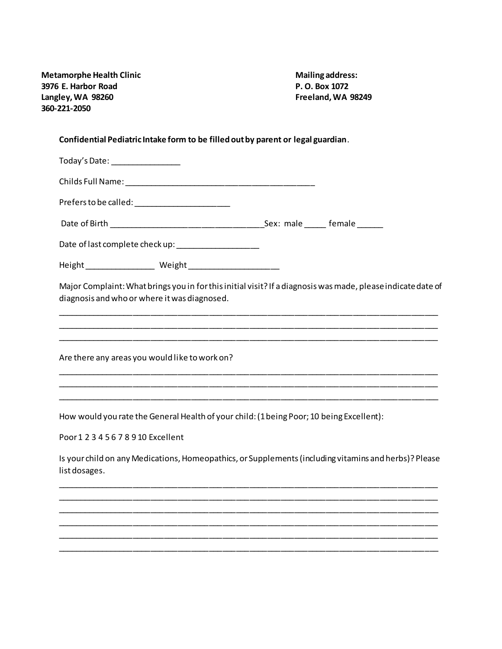| <b>Metamorphe Health Clinic</b> |
|---------------------------------|
| 3976 E. Harbor Road             |
| Langley, WA 98260               |
| 360-221-2050                    |

**Mailing address: 3976 E. Harbor Road P. O. Box 1072 Langley, WA 98260 Freeland, WA 98249**

## **Confidential Pediatric Intake form to be filled out by parent or legal guardian**.

| Today's Date: _________________                                                                                                                              |  |
|--------------------------------------------------------------------------------------------------------------------------------------------------------------|--|
|                                                                                                                                                              |  |
| Prefers to be called: _________________________                                                                                                              |  |
|                                                                                                                                                              |  |
| Date of last complete check up: _____________________                                                                                                        |  |
|                                                                                                                                                              |  |
| Major Complaint: What brings you in for this initial visit? If a diagnosis was made, please indicate date of<br>diagnosis and who or where it was diagnosed. |  |
| Are there any areas you would like to work on?                                                                                                               |  |
|                                                                                                                                                              |  |
| How would you rate the General Health of your child: (1 being Poor; 10 being Excellent):                                                                     |  |

Poor 1 2 3 4 5 6 7 8 9 10 Excellent

Is your child on any Medications, Homeopathics, or Supplements (including vitamins and herbs)? Please list dosages.

\_\_\_\_\_\_\_\_\_\_\_\_\_\_\_\_\_\_\_\_\_\_\_\_\_\_\_\_\_\_\_\_\_\_\_\_\_\_\_\_\_\_\_\_\_\_\_\_\_\_\_\_\_\_\_\_\_\_\_\_\_\_\_\_\_\_\_\_\_\_\_\_\_\_\_\_\_\_\_\_\_\_\_\_\_ \_\_\_\_\_\_\_\_\_\_\_\_\_\_\_\_\_\_\_\_\_\_\_\_\_\_\_\_\_\_\_\_\_\_\_\_\_\_\_\_\_\_\_\_\_\_\_\_\_\_\_\_\_\_\_\_\_\_\_\_\_\_\_\_\_\_\_\_\_\_\_\_\_\_\_\_\_\_\_\_\_\_\_\_\_ \_\_\_\_\_\_\_\_\_\_\_\_\_\_\_\_\_\_\_\_\_\_\_\_\_\_\_\_\_\_\_\_\_\_\_\_\_\_\_\_\_\_\_\_\_\_\_\_\_\_\_\_\_\_\_\_\_\_\_\_\_\_\_\_\_\_\_\_\_\_\_\_\_\_\_\_\_\_\_\_\_\_\_\_\_ \_\_\_\_\_\_\_\_\_\_\_\_\_\_\_\_\_\_\_\_\_\_\_\_\_\_\_\_\_\_\_\_\_\_\_\_\_\_\_\_\_\_\_\_\_\_\_\_\_\_\_\_\_\_\_\_\_\_\_\_\_\_\_\_\_\_\_\_\_\_\_\_\_\_\_\_\_\_\_\_\_\_\_\_\_ \_\_\_\_\_\_\_\_\_\_\_\_\_\_\_\_\_\_\_\_\_\_\_\_\_\_\_\_\_\_\_\_\_\_\_\_\_\_\_\_\_\_\_\_\_\_\_\_\_\_\_\_\_\_\_\_\_\_\_\_\_\_\_\_\_\_\_\_\_\_\_\_\_\_\_\_\_\_\_\_\_\_\_\_\_ \_\_\_\_\_\_\_\_\_\_\_\_\_\_\_\_\_\_\_\_\_\_\_\_\_\_\_\_\_\_\_\_\_\_\_\_\_\_\_\_\_\_\_\_\_\_\_\_\_\_\_\_\_\_\_\_\_\_\_\_\_\_\_\_\_\_\_\_\_\_\_\_\_\_\_\_\_\_\_\_\_\_\_\_\_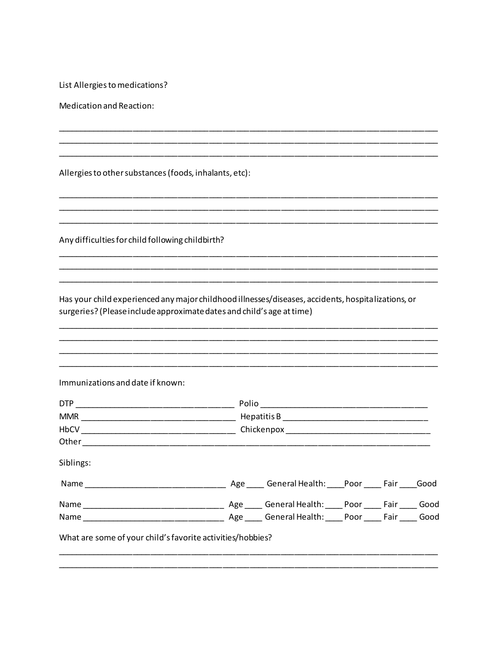List Allergies to medications?

Medication and Reaction:

Allergies to other substances (foods, inhalants, etc):

Any difficulties for child following childbirth?

Has your child experienced any major childhood illnesses/diseases, accidents, hospitalizations, or surgeries? (Please include approximate dates and child's age at time)

Immunizations and date if known:

| <b>DTP</b>                                                 | Polio |  |  |  |      |
|------------------------------------------------------------|-------|--|--|--|------|
| <b>MMR</b>                                                 |       |  |  |  |      |
|                                                            |       |  |  |  |      |
|                                                            |       |  |  |  |      |
| Siblings:                                                  |       |  |  |  |      |
|                                                            |       |  |  |  |      |
|                                                            |       |  |  |  | Good |
|                                                            |       |  |  |  |      |
| What are some of your child's favorite activities/hobbies? |       |  |  |  |      |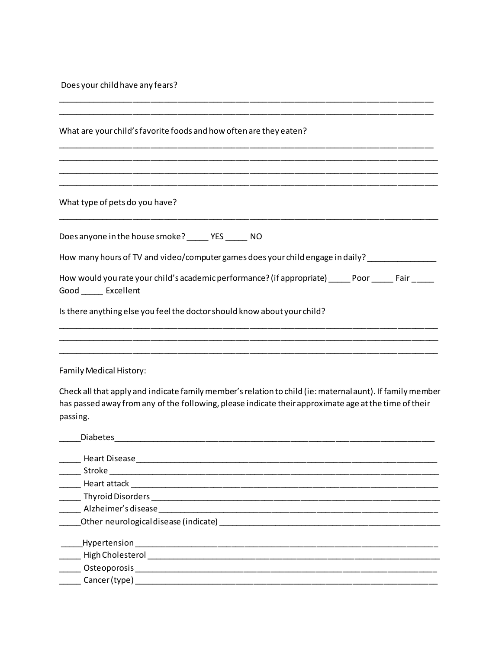Does your child have any fears?

| What are your child's favorite foods and how often are they eaten?                                                                                                                                                             |
|--------------------------------------------------------------------------------------------------------------------------------------------------------------------------------------------------------------------------------|
|                                                                                                                                                                                                                                |
|                                                                                                                                                                                                                                |
| What type of pets do you have?                                                                                                                                                                                                 |
| Does anyone in the house smoke? _______ YES ______ NO                                                                                                                                                                          |
| How many hours of TV and video/computer games does your child engage in daily?                                                                                                                                                 |
| How would you rate your child's academic performance? (if appropriate) ______Poor _______ Fair _____<br>Good ______ Excellent                                                                                                  |
| Is there anything else you feel the doctor should know about your child?<br><u> 1989 - Johann John Harry Harry Harry Harry Harry Harry Harry Harry Harry Harry Harry Harry Harry Harry Harry</u>                               |
| Family Medical History:                                                                                                                                                                                                        |
| Check all that apply and indicate family member's relation to child (ie: maternal aunt). If family member<br>has passed away from any of the following, please indicate their approximate age at the time of their<br>passing. |
| Diabetes and the contract of the contract of the contract of the contract of the contract of the contract of the contract of the contract of the contract of the contract of the contract of the contract of the contract of t |
|                                                                                                                                                                                                                                |
| Stroke                                                                                                                                                                                                                         |
|                                                                                                                                                                                                                                |
| Alzheimer's disease                                                                                                                                                                                                            |
| Other neurological disease (indicate) example a state of the state of the state of the state of the state of the state of the state of the state of the state of the state of the state of the state of the state of the state |
| Hypertension                                                                                                                                                                                                                   |
| <b>High Cholesterol Expansion of the Cholesterol</b>                                                                                                                                                                           |
|                                                                                                                                                                                                                                |
|                                                                                                                                                                                                                                |
|                                                                                                                                                                                                                                |